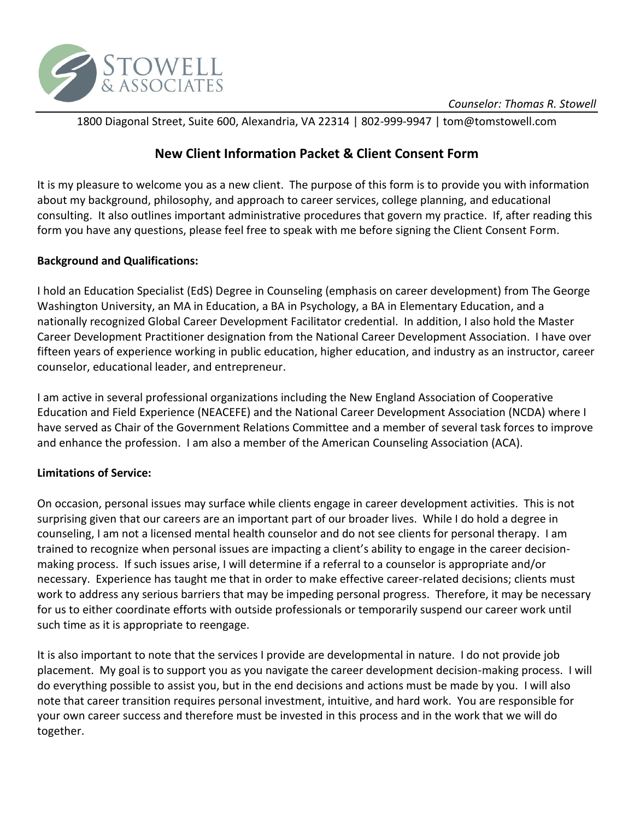

1800 Diagonal Street, Suite 600, Alexandria, VA 22314 | 802-999-9947 | tom@tomstowell.com

# **New Client Information Packet & Client Consent Form**

It is my pleasure to welcome you as a new client. The purpose of this form is to provide you with information about my background, philosophy, and approach to career services, college planning, and educational consulting. It also outlines important administrative procedures that govern my practice. If, after reading this form you have any questions, please feel free to speak with me before signing the Client Consent Form.

#### **Background and Qualifications:**

I hold an Education Specialist (EdS) Degree in Counseling (emphasis on career development) from The George Washington University, an MA in Education, a BA in Psychology, a BA in Elementary Education, and a nationally recognized Global Career Development Facilitator credential. In addition, I also hold the Master Career Development Practitioner designation from the National Career Development Association. I have over fifteen years of experience working in public education, higher education, and industry as an instructor, career counselor, educational leader, and entrepreneur.

I am active in several professional organizations including the New England Association of Cooperative Education and Field Experience (NEACEFE) and the National Career Development Association (NCDA) where I have served as Chair of the Government Relations Committee and a member of several task forces to improve and enhance the profession. I am also a member of the American Counseling Association (ACA).

## **Limitations of Service:**

On occasion, personal issues may surface while clients engage in career development activities. This is not surprising given that our careers are an important part of our broader lives. While I do hold a degree in counseling, I am not a licensed mental health counselor and do not see clients for personal therapy. I am trained to recognize when personal issues are impacting a client's ability to engage in the career decisionmaking process. If such issues arise, I will determine if a referral to a counselor is appropriate and/or necessary. Experience has taught me that in order to make effective career-related decisions; clients must work to address any serious barriers that may be impeding personal progress. Therefore, it may be necessary for us to either coordinate efforts with outside professionals or temporarily suspend our career work until such time as it is appropriate to reengage.

It is also important to note that the services I provide are developmental in nature. I do not provide job placement. My goal is to support you as you navigate the career development decision-making process. I will do everything possible to assist you, but in the end decisions and actions must be made by you. I will also note that career transition requires personal investment, intuitive, and hard work. You are responsible for your own career success and therefore must be invested in this process and in the work that we will do together.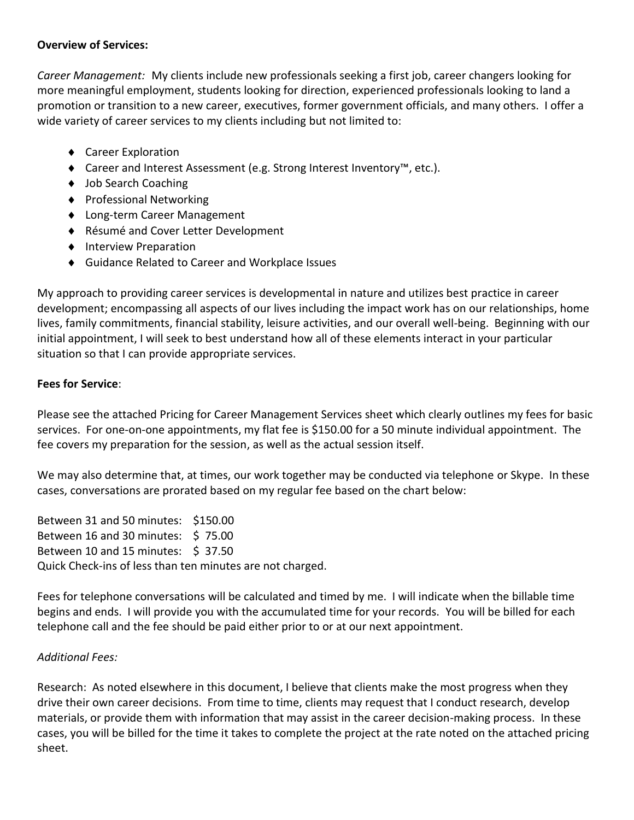#### **Overview of Services:**

*Career Management:*My clients include new professionals seeking a first job, career changers looking for more meaningful employment, students looking for direction, experienced professionals looking to land a promotion or transition to a new career, executives, former government officials, and many others. I offer a wide variety of career services to my clients including but not limited to:

- ◆ Career Exploration
- Career and Interest Assessment (e.g. Strong Interest Inventory™, etc.).
- ◆ Job Search Coaching
- ◆ Professional Networking
- Long-term Career Management
- ◆ Résumé and Cover Letter Development
- ◆ Interview Preparation
- Guidance Related to Career and Workplace Issues

My approach to providing career services is developmental in nature and utilizes best practice in career development; encompassing all aspects of our lives including the impact work has on our relationships, home lives, family commitments, financial stability, leisure activities, and our overall well-being. Beginning with our initial appointment, I will seek to best understand how all of these elements interact in your particular situation so that I can provide appropriate services.

## **Fees for Service**:

Please see the attached Pricing for Career Management Services sheet which clearly outlines my fees for basic services. For one-on-one appointments, my flat fee is \$150.00 for a 50 minute individual appointment. The fee covers my preparation for the session, as well as the actual session itself.

We may also determine that, at times, our work together may be conducted via telephone or Skype. In these cases, conversations are prorated based on my regular fee based on the chart below:

Between 31 and 50 minutes: \$150.00 Between 16 and 30 minutes: \$75.00 Between 10 and 15 minutes: \$ 37.50 Quick Check-ins of less than ten minutes are not charged.

Fees for telephone conversations will be calculated and timed by me. I will indicate when the billable time begins and ends. I will provide you with the accumulated time for your records. You will be billed for each telephone call and the fee should be paid either prior to or at our next appointment.

## *Additional Fees:*

Research: As noted elsewhere in this document, I believe that clients make the most progress when they drive their own career decisions. From time to time, clients may request that I conduct research, develop materials, or provide them with information that may assist in the career decision-making process. In these cases, you will be billed for the time it takes to complete the project at the rate noted on the attached pricing sheet.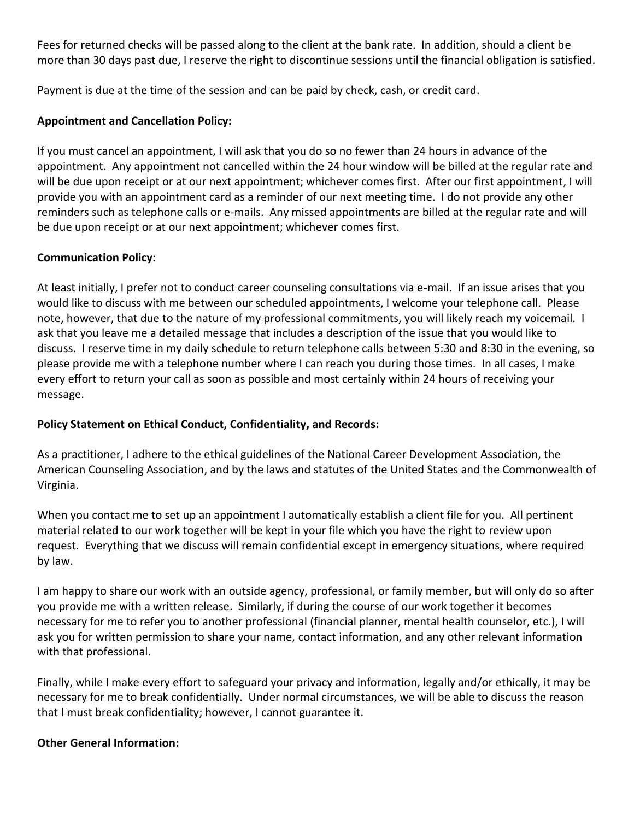Fees for returned checks will be passed along to the client at the bank rate. In addition, should a client be more than 30 days past due, I reserve the right to discontinue sessions until the financial obligation is satisfied.

Payment is due at the time of the session and can be paid by check, cash, or credit card.

## **Appointment and Cancellation Policy:**

If you must cancel an appointment, I will ask that you do so no fewer than 24 hours in advance of the appointment. Any appointment not cancelled within the 24 hour window will be billed at the regular rate and will be due upon receipt or at our next appointment; whichever comes first. After our first appointment, I will provide you with an appointment card as a reminder of our next meeting time. I do not provide any other reminders such as telephone calls or e-mails. Any missed appointments are billed at the regular rate and will be due upon receipt or at our next appointment; whichever comes first.

## **Communication Policy:**

At least initially, I prefer not to conduct career counseling consultations via e-mail. If an issue arises that you would like to discuss with me between our scheduled appointments, I welcome your telephone call. Please note, however, that due to the nature of my professional commitments, you will likely reach my voicemail. I ask that you leave me a detailed message that includes a description of the issue that you would like to discuss. I reserve time in my daily schedule to return telephone calls between 5:30 and 8:30 in the evening, so please provide me with a telephone number where I can reach you during those times. In all cases, I make every effort to return your call as soon as possible and most certainly within 24 hours of receiving your message.

## **Policy Statement on Ethical Conduct, Confidentiality, and Records:**

As a practitioner, I adhere to the ethical guidelines of the National Career Development Association, the American Counseling Association, and by the laws and statutes of the United States and the Commonwealth of Virginia.

When you contact me to set up an appointment I automatically establish a client file for you. All pertinent material related to our work together will be kept in your file which you have the right to review upon request. Everything that we discuss will remain confidential except in emergency situations, where required by law.

I am happy to share our work with an outside agency, professional, or family member, but will only do so after you provide me with a written release. Similarly, if during the course of our work together it becomes necessary for me to refer you to another professional (financial planner, mental health counselor, etc.), I will ask you for written permission to share your name, contact information, and any other relevant information with that professional.

Finally, while I make every effort to safeguard your privacy and information, legally and/or ethically, it may be necessary for me to break confidentially. Under normal circumstances, we will be able to discuss the reason that I must break confidentiality; however, I cannot guarantee it.

## **Other General Information:**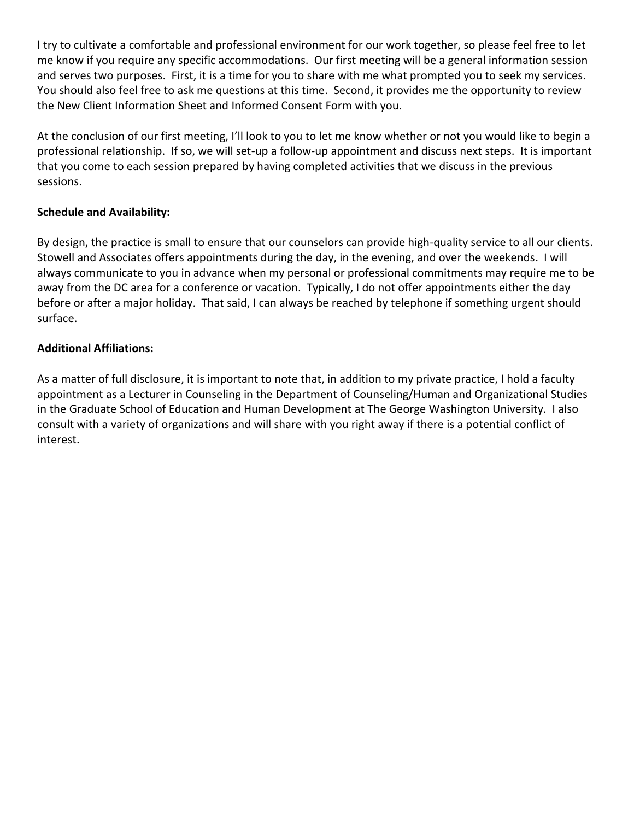I try to cultivate a comfortable and professional environment for our work together, so please feel free to let me know if you require any specific accommodations. Our first meeting will be a general information session and serves two purposes. First, it is a time for you to share with me what prompted you to seek my services. You should also feel free to ask me questions at this time. Second, it provides me the opportunity to review the New Client Information Sheet and Informed Consent Form with you.

At the conclusion of our first meeting, I'll look to you to let me know whether or not you would like to begin a professional relationship. If so, we will set-up a follow-up appointment and discuss next steps. It is important that you come to each session prepared by having completed activities that we discuss in the previous sessions.

## **Schedule and Availability:**

By design, the practice is small to ensure that our counselors can provide high-quality service to all our clients. Stowell and Associates offers appointments during the day, in the evening, and over the weekends. I will always communicate to you in advance when my personal or professional commitments may require me to be away from the DC area for a conference or vacation. Typically, I do not offer appointments either the day before or after a major holiday. That said, I can always be reached by telephone if something urgent should surface.

## **Additional Affiliations:**

As a matter of full disclosure, it is important to note that, in addition to my private practice, I hold a faculty appointment as a Lecturer in Counseling in the Department of Counseling/Human and Organizational Studies in the Graduate School of Education and Human Development at The George Washington University. I also consult with a variety of organizations and will share with you right away if there is a potential conflict of interest.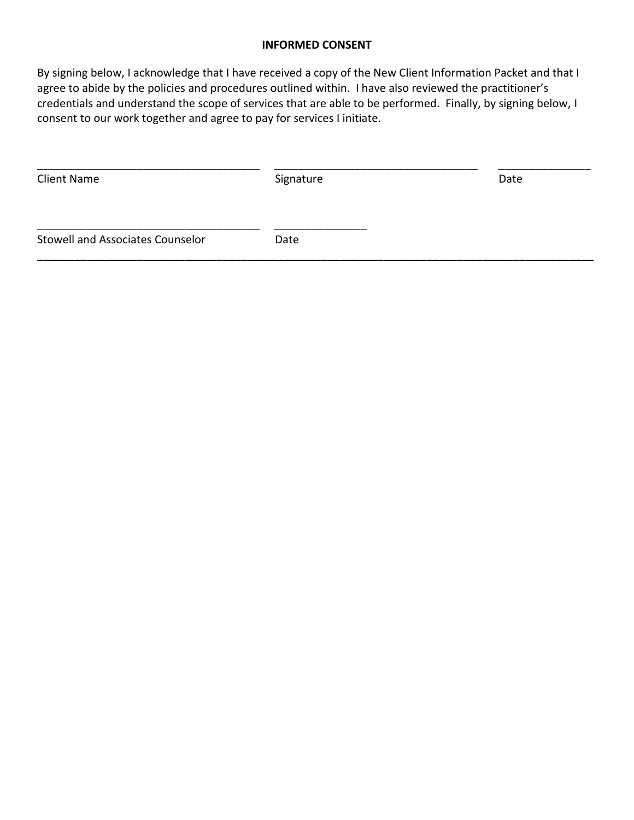#### **INFORMED CONSENT**

By signing below, I acknowledge that I have received a copy of the New Client Information Packet and that I agree to abide by the policies and procedures outlined within. I have also reviewed the practitioner's credentials and understand the scope of services that are able to be performed. Finally, by signing below, I consent to our work together and agree to pay for services I initiate.

| <b>Client Name</b>               | Signature | Date |
|----------------------------------|-----------|------|
| Stowell and Associates Counselor | Date      |      |